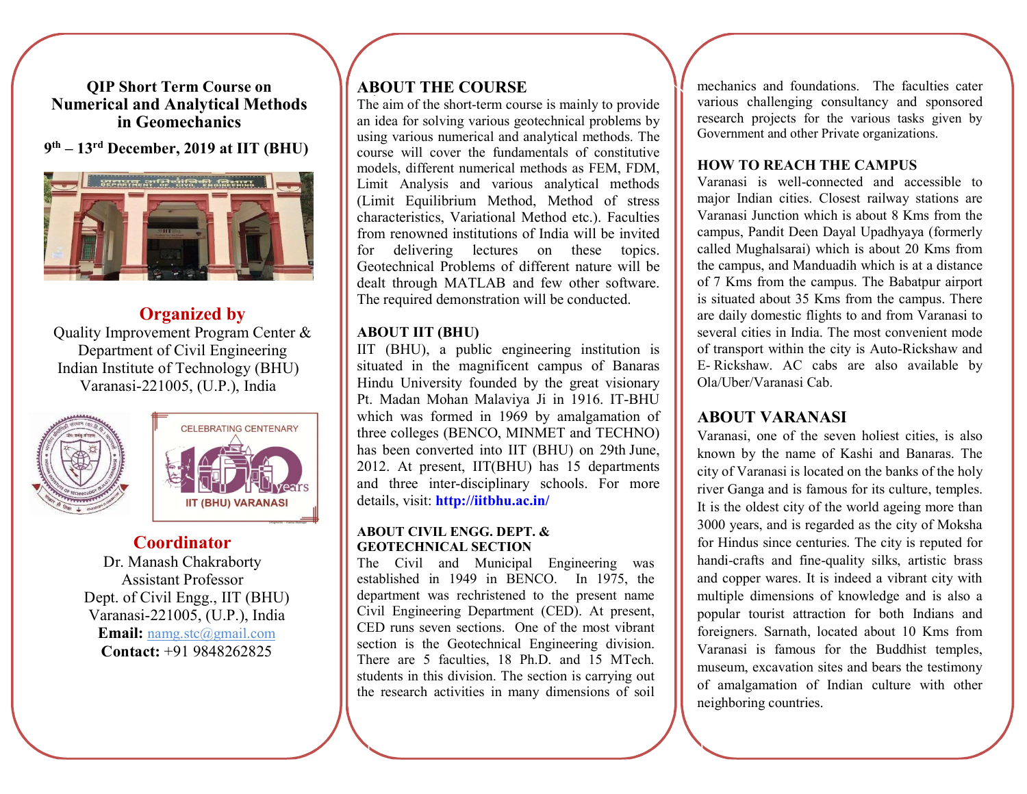QIP Short Term Course on Numerical and Analytical Methods in Geomechanics

## 9 th – 13rd December, 2019 at IIT (BHU)



# Organized by

Quality Improvement Program Center & Department of Civil Engineering Indian Institute of Technology (BHU) Varanasi-221005, (U.P.), India





# **Coordinator**

Dr. Manash Chakraborty Assistant Professor Dept. of Civil Engg., IIT (BHU) Varanasi-221005, (U.P.), India Email: namg.stc@gmail.com Contact: +91 9848262825

# ABOUT THE COURSE

The aim of the short-term course is mainly to provide an idea for solving various geotechnical problems by using various numerical and analytical methods. The course will cover the fundamentals of constitutive models, different numerical methods as FEM, FDM, Limit Analysis and various analytical methods (Limit Equilibrium Method, Method of stress characteristics, Variational Method etc.). Faculties from renowned institutions of India will be invited for delivering lectures on these topics. Geotechnical Problems of different nature will be dealt through MATLAB and few other software. The required demonstration will be conducted.

## ABOUT IIT (BHU)

IIT (BHU), a public engineering institution is situated in the magnificent campus of Banaras Hindu University founded by the great visionary Pt. Madan Mohan Malaviya Ji in 1916. IT-BHU which was formed in 1969 by amalgamation of three colleges (BENCO, MINMET and TECHNO) has been converted into IIT (BHU) on 29th June, 2012. At present, IIT(BHU) has 15 departments and three inter-disciplinary schools. For more details, visit: http://iitbhu.ac.in/

#### ABOUT CIVIL ENGG. DEPT. & GEOTECHNICAL SECTION

The Civil and Municipal Engineering was established in 1949 in BENCO. In 1975, the department was rechristened to the present name Civil Engineering Department (CED). At present, CED runs seven sections. One of the most vibrant section is the Geotechnical Engineering division. There are 5 faculties, 18 Ph.D. and 15 MTech. students in this division. The section is carrying out the research activities in many dimensions of soil

mechanics and foundations. The faculties cater various challenging consultancy and sponsored research projects for the various tasks given by Government and other Private organizations.

### HOW TO REACH THE CAMPUS

Varanasi is well-connected and accessible to major Indian cities. Closest railway stations are Varanasi Junction which is about 8 Kms from the campus, Pandit Deen Dayal Upadhyaya (formerly called Mughalsarai) which is about 20 Kms from the campus, and Manduadih which is at a distance of 7 Kms from the campus. The Babatpur airport is situated about 35 Kms from the campus. There are daily domestic flights to and from Varanasi to several cities in India. The most convenient mode of transport within the city is Auto-Rickshaw and E- Rickshaw. AC cabs are also available by Ola/Uber/Varanasi Cab.

## ABOUT VARANASI

Varanasi, one of the seven holiest cities, is also known by the name of Kashi and Banaras. The city of Varanasi is located on the banks of the holy river Ganga and is famous for its culture, temples. It is the oldest city of the world ageing more than 3000 years, and is regarded as the city of Moksha for Hindus since centuries. The city is reputed for handi-crafts and fine-quality silks, artistic brass and copper wares. It is indeed a vibrant city with multiple dimensions of knowledge and is also a popular tourist attraction for both Indians and foreigners. Sarnath, located about 10 Kms from Varanasi is famous for the Buddhist temples, museum, excavation sites and bears the testimony of amalgamation of Indian culture with other neighboring countries.